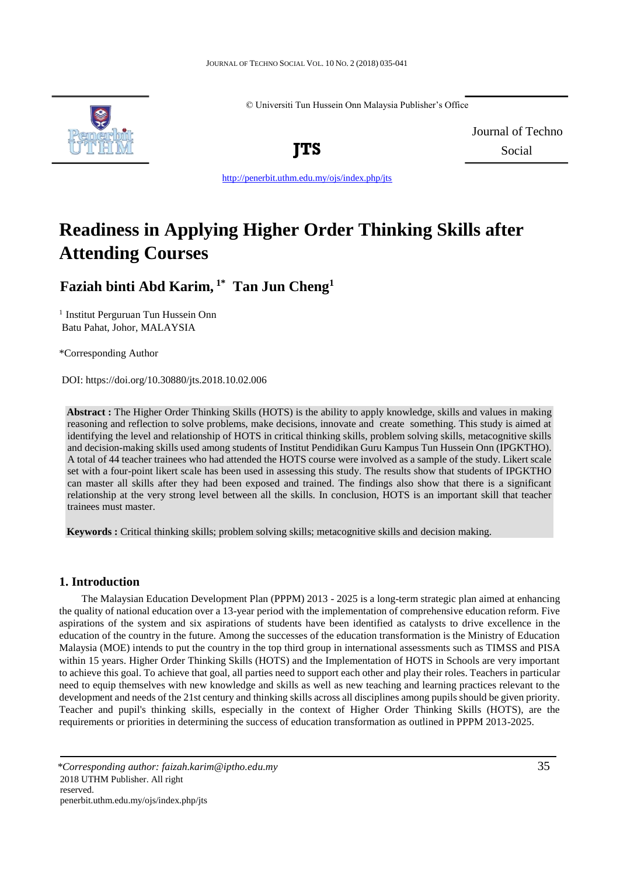© Universiti Tun Hussein Onn Malaysia Publisher's Office



Journal of Techno **JTS** Social

<http://penerbit.uthm.edu.my/ojs/index.php/jts>

# **Readiness in Applying Higher Order Thinking Skills after Attending Courses**

**Faziah binti Abd Karim, 1\* Tan Jun Cheng<sup>1</sup>**

<sup>1</sup> Institut Perguruan Tun Hussein Onn Batu Pahat, Johor, MALAYSIA

\*Corresponding Author

DOI: https://doi.org/10.30880/jts.2018.10.02.006

**Abstract :** The Higher Order Thinking Skills (HOTS) is the ability to apply knowledge, skills and values in making reasoning and reflection to solve problems, make decisions, innovate and create something. This study is aimed at identifying the level and relationship of HOTS in critical thinking skills, problem solving skills, metacognitive skills and decision-making skills used among students of Institut Pendidikan Guru Kampus Tun Hussein Onn (IPGKTHO). A total of 44 teacher trainees who had attended the HOTS course were involved as a sample of the study. Likert scale set with a four-point likert scale has been used in assessing this study. The results show that students of IPGKTHO can master all skills after they had been exposed and trained. The findings also show that there is a significant relationship at the very strong level between all the skills. In conclusion, HOTS is an important skill that teacher trainees must master.

**Keywords :** Critical thinking skills; problem solving skills; metacognitive skills and decision making.

## **1. Introduction**

The Malaysian Education Development Plan (PPPM) 2013 - 2025 is a long-term strategic plan aimed at enhancing the quality of national education over a 13-year period with the implementation of comprehensive education reform. Five aspirations of the system and six aspirations of students have been identified as catalysts to drive excellence in the education of the country in the future. Among the successes of the education transformation is the Ministry of Education Malaysia (MOE) intends to put the country in the top third group in international assessments such as TIMSS and PISA within 15 years. Higher Order Thinking Skills (HOTS) and the Implementation of HOTS in Schools are very important to achieve this goal. To achieve that goal, all parties need to support each other and play their roles. Teachers in particular need to equip themselves with new knowledge and skills as well as new teaching and learning practices relevant to the development and needs of the 21st century and thinking skills across all disciplines among pupils should be given priority. Teacher and pupil's thinking skills, especially in the context of Higher Order Thinking Skills (HOTS), are the requirements or priorities in determining the success of education transformation as outlined in PPPM 2013-2025.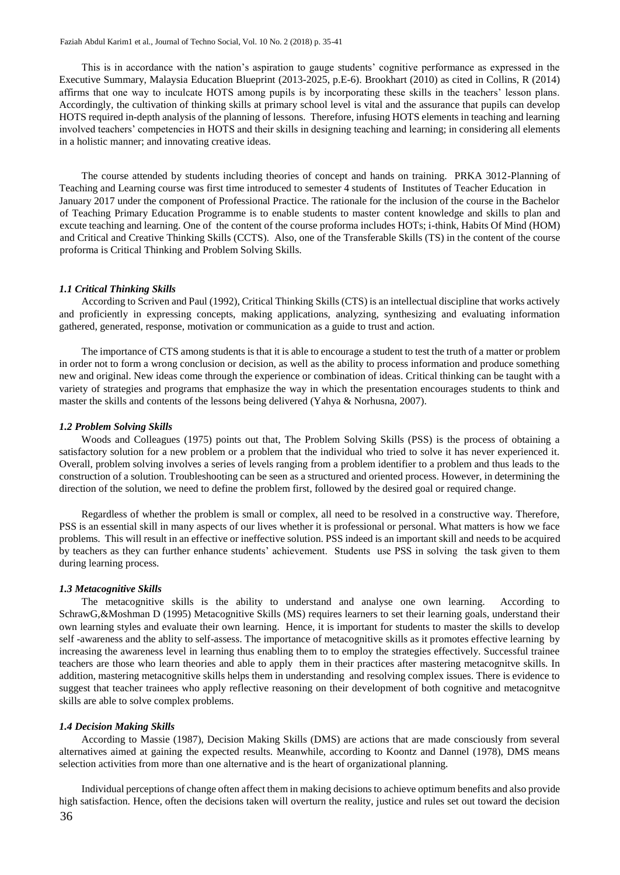This is in accordance with the nation's aspiration to gauge students' cognitive performance as expressed in the Executive Summary, Malaysia Education Blueprint (2013-2025, p.E-6). Brookhart (2010) as cited in Collins, R (2014) affirms that one way to inculcate HOTS among pupils is by incorporating these skills in the teachers' lesson plans. Accordingly, the cultivation of thinking skills at primary school level is vital and the assurance that pupils can develop HOTS required in-depth analysis of the planning of lessons. Therefore, infusing HOTS elements in teaching and learning involved teachers' competencies in HOTS and their skills in designing teaching and learning; in considering all elements in a holistic manner; and innovating creative ideas.

The course attended by students including theories of concept and hands on training. PRKA 3012-Planning of Teaching and Learning course was first time introduced to semester 4 students of Institutes of Teacher Education in January 2017 under the component of Professional Practice. The rationale for the inclusion of the course in the Bachelor of Teaching Primary Education Programme is to enable students to master content knowledge and skills to plan and excute teaching and learning. One of the content of the course proforma includes HOTs; i-think, Habits Of Mind (HOM) and Critical and Creative Thinking Skills (CCTS). Also, one of the Transferable Skills (TS) in the content of the course proforma is Critical Thinking and Problem Solving Skills.

#### *1.1 Critical Thinking Skills*

According to Scriven and Paul (1992), Critical Thinking Skills (CTS) is an intellectual discipline that works actively and proficiently in expressing concepts, making applications, analyzing, synthesizing and evaluating information gathered, generated, response, motivation or communication as a guide to trust and action.

The importance of CTS among students is that it is able to encourage a student to test the truth of a matter or problem in order not to form a wrong conclusion or decision, as well as the ability to process information and produce something new and original. New ideas come through the experience or combination of ideas. Critical thinking can be taught with a variety of strategies and programs that emphasize the way in which the presentation encourages students to think and master the skills and contents of the lessons being delivered (Yahya & Norhusna, 2007).

#### *1.2 Problem Solving Skills*

Woods and Colleagues (1975) points out that, The Problem Solving Skills (PSS) is the process of obtaining a satisfactory solution for a new problem or a problem that the individual who tried to solve it has never experienced it. Overall, problem solving involves a series of levels ranging from a problem identifier to a problem and thus leads to the construction of a solution. Troubleshooting can be seen as a structured and oriented process. However, in determining the direction of the solution, we need to define the problem first, followed by the desired goal or required change.

Regardless of whether the problem is small or complex, all need to be resolved in a constructive way. Therefore, PSS is an essential skill in many aspects of our lives whether it is professional or personal. What matters is how we face problems. This will result in an effective or ineffective solution. PSS indeed is an important skill and needs to be acquired by teachers as they can further enhance students' achievement. Students use PSS in solving the task given to them during learning process.

#### *1.3 Metacognitive Skills*

The metacognitive skills is the ability to understand and analyse one own learning. According to SchrawG,&Moshman D (1995) Metacognitive Skills (MS) requires learners to set their learning goals, understand their own learning styles and evaluate their own learning. Hence, it is important for students to master the skills to develop self -awareness and the ablity to self-assess. The importance of metacognitive skills as it promotes effective learning by increasing the awareness level in learning thus enabling them to to employ the strategies effectively. Successful trainee teachers are those who learn theories and able to apply them in their practices after mastering metacognitve skills. In addition, mastering metacognitive skills helps them in understanding and resolving complex issues. There is evidence to suggest that teacher trainees who apply reflective reasoning on their development of both cognitive and metacognitve skills are able to solve complex problems.

#### *1.4 Decision Making Skills*

According to Massie (1987), Decision Making Skills (DMS) are actions that are made consciously from several alternatives aimed at gaining the expected results. Meanwhile, according to Koontz and Dannel (1978), DMS means selection activities from more than one alternative and is the heart of organizational planning.

36 Individual perceptions of change often affect them in making decisions to achieve optimum benefits and also provide high satisfaction. Hence, often the decisions taken will overturn the reality, justice and rules set out toward the decision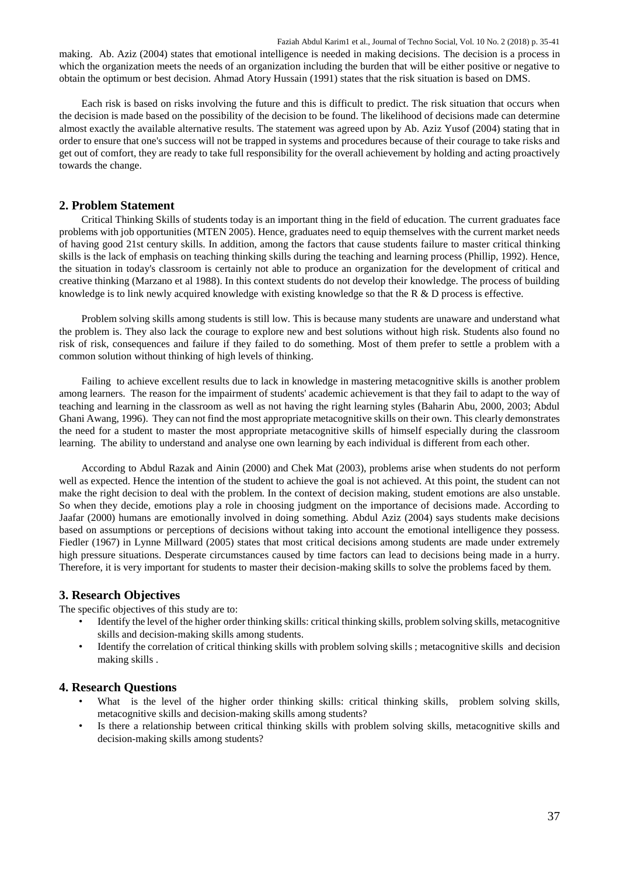Faziah Abdul Karim1 et al., Journal of Techno Social, Vol. 10 No. 2 (2018) p. 35-41 making. Ab. Aziz (2004) states that emotional intelligence is needed in making decisions. The decision is a process in which the organization meets the needs of an organization including the burden that will be either positive or negative to obtain the optimum or best decision. Ahmad Atory Hussain (1991) states that the risk situation is based on DMS.

Each risk is based on risks involving the future and this is difficult to predict. The risk situation that occurs when the decision is made based on the possibility of the decision to be found. The likelihood of decisions made can determine almost exactly the available alternative results. The statement was agreed upon by Ab. Aziz Yusof (2004) stating that in order to ensure that one's success will not be trapped in systems and procedures because of their courage to take risks and get out of comfort, they are ready to take full responsibility for the overall achievement by holding and acting proactively towards the change.

## **2. Problem Statement**

Critical Thinking Skills of students today is an important thing in the field of education. The current graduates face problems with job opportunities (MTEN 2005). Hence, graduates need to equip themselves with the current market needs of having good 21st century skills. In addition, among the factors that cause students failure to master critical thinking skills is the lack of emphasis on teaching thinking skills during the teaching and learning process (Phillip, 1992). Hence, the situation in today's classroom is certainly not able to produce an organization for the development of critical and creative thinking (Marzano et al 1988). In this context students do not develop their knowledge. The process of building knowledge is to link newly acquired knowledge with existing knowledge so that the R & D process is effective.

Problem solving skills among students is still low. This is because many students are unaware and understand what the problem is. They also lack the courage to explore new and best solutions without high risk. Students also found no risk of risk, consequences and failure if they failed to do something. Most of them prefer to settle a problem with a common solution without thinking of high levels of thinking.

Failing to achieve excellent results due to lack in knowledge in mastering metacognitive skills is another problem among learners. The reason for the impairment of students' academic achievement is that they fail to adapt to the way of teaching and learning in the classroom as well as not having the right learning styles (Baharin Abu, 2000, 2003; Abdul Ghani Awang, 1996). They can not find the most appropriate metacognitive skills on their own. This clearly demonstrates the need for a student to master the most appropriate metacognitive skills of himself especially during the classroom learning. The ability to understand and analyse one own learning by each individual is different from each other.

According to Abdul Razak and Ainin (2000) and Chek Mat (2003), problems arise when students do not perform well as expected. Hence the intention of the student to achieve the goal is not achieved. At this point, the student can not make the right decision to deal with the problem. In the context of decision making, student emotions are also unstable. So when they decide, emotions play a role in choosing judgment on the importance of decisions made. According to Jaafar (2000) humans are emotionally involved in doing something. Abdul Aziz (2004) says students make decisions based on assumptions or perceptions of decisions without taking into account the emotional intelligence they possess. Fiedler (1967) in Lynne Millward (2005) states that most critical decisions among students are made under extremely high pressure situations. Desperate circumstances caused by time factors can lead to decisions being made in a hurry. Therefore, it is very important for students to master their decision-making skills to solve the problems faced by them.

## **3. Research Objectives**

The specific objectives of this study are to:

- Identify the level of the higher order thinking skills: critical thinking skills, problem solving skills, metacognitive skills and decision-making skills among students.
- Identify the correlation of critical thinking skills with problem solving skills ; metacognitive skills and decision making skills .

## **4. Research Questions**

- What is the level of the higher order thinking skills: critical thinking skills, problem solving skills, metacognitive skills and decision-making skills among students?
- Is there a relationship between critical thinking skills with problem solving skills, metacognitive skills and decision-making skills among students?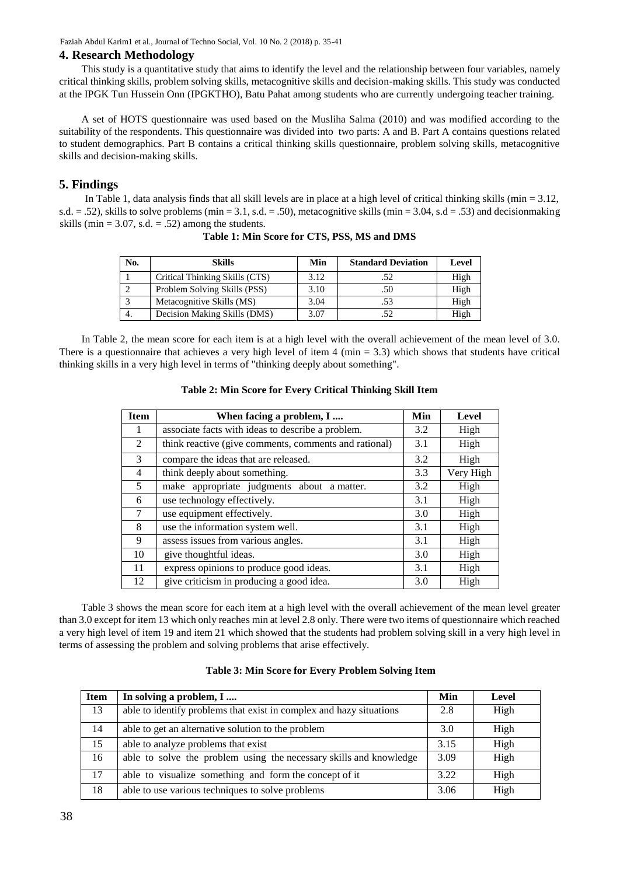#### **4. Research Methodology**

This study is a quantitative study that aims to identify the level and the relationship between four variables, namely critical thinking skills, problem solving skills, metacognitive skills and decision-making skills. This study was conducted at the IPGK Tun Hussein Onn (IPGKTHO), Batu Pahat among students who are currently undergoing teacher training.

A set of HOTS questionnaire was used based on the Musliha Salma (2010) and was modified according to the suitability of the respondents. This questionnaire was divided into two parts: A and B. Part A contains questions related to student demographics. Part B contains a critical thinking skills questionnaire, problem solving skills, metacognitive skills and decision-making skills.

## **5. Findings**

In Table 1, data analysis finds that all skill levels are in place at a high level of critical thinking skills (min  $= 3.12$ , s.d.  $= .52$ ), skills to solve problems (min  $= 3.1$ , s.d.  $= .50$ ), metacognitive skills (min  $= 3.04$ , s.d  $= .53$ ) and decisionmaking skills (min =  $3.07$ , s.d. =  $.52$ ) among the students.

| No. | <b>Skills</b>                  | Min  | <b>Standard Deviation</b> | Level |
|-----|--------------------------------|------|---------------------------|-------|
|     | Critical Thinking Skills (CTS) | 3.12 | .52                       | High  |
|     | Problem Solving Skills (PSS)   | 3.10 | .50                       | High  |
|     | Metacognitive Skills (MS)      | 3.04 | .53                       | High  |
|     | Decision Making Skills (DMS)   | 3.07 |                           | High  |

**Table 1: Min Score for CTS, PSS, MS and DMS** 

In Table 2, the mean score for each item is at a high level with the overall achievement of the mean level of 3.0. There is a questionnaire that achieves a very high level of item  $4 \text{ (min } = 3.3)$  which shows that students have critical thinking skills in a very high level in terms of "thinking deeply about something".

| <b>Item</b> | When facing a problem, I                              | Min | Level     |
|-------------|-------------------------------------------------------|-----|-----------|
| 1           | associate facts with ideas to describe a problem.     | 3.2 | High      |
| 2           | think reactive (give comments, comments and rational) | 3.1 | High      |
| 3           | compare the ideas that are released.                  | 3.2 | High      |
| 4           | think deeply about something.                         | 3.3 | Very High |
| 5           | make appropriate judgments about a matter.            | 3.2 | High      |
| 6           | use technology effectively.                           | 3.1 | High      |
| 7           | use equipment effectively.                            | 3.0 | High      |
| 8           | use the information system well.                      | 3.1 | High      |
| 9           | assess issues from various angles.                    | 3.1 | High      |
| 10          | give thoughtful ideas.                                | 3.0 | High      |
| 11          | express opinions to produce good ideas.               | 3.1 | High      |
| 12          | give criticism in producing a good idea.              | 3.0 | High      |

#### **Table 2: Min Score for Every Critical Thinking Skill Item**

Table 3 shows the mean score for each item at a high level with the overall achievement of the mean level greater than 3.0 except for item 13 which only reaches min at level 2.8 only. There were two items of questionnaire which reached a very high level of item 19 and item 21 which showed that the students had problem solving skill in a very high level in terms of assessing the problem and solving problems that arise effectively.

| <b>Item</b> | In solving a problem, I                                             | Min  | Level |
|-------------|---------------------------------------------------------------------|------|-------|
| 13          | able to identify problems that exist in complex and hazy situations | 2.8  | High  |
| 14          | able to get an alternative solution to the problem                  | 3.0  | High  |
| 15          | able to analyze problems that exist                                 | 3.15 | High  |
| 16          | able to solve the problem using the necessary skills and knowledge  | 3.09 | High  |
| 17          | able to visualize something and form the concept of it              | 3.22 | High  |
| 18          | able to use various techniques to solve problems                    | 3.06 | High  |

#### **Table 3: Min Score for Every Problem Solving Item**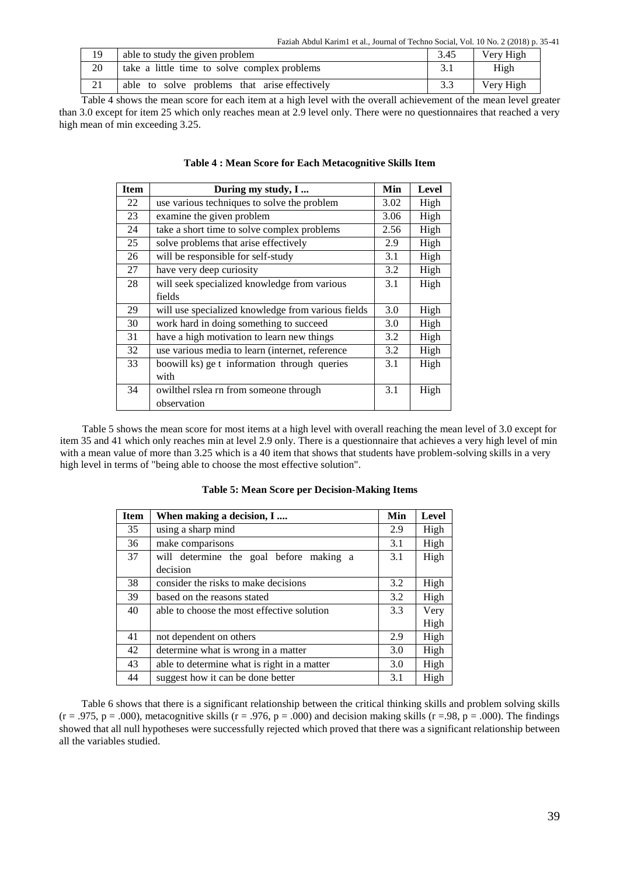Faziah Abdul Karim1 et al., Journal of Techno Social, Vol. 10 No. 2 (2018) p. 35-41

| 19                                                                                                              | able to study the given problem               | 3.45 | Very High |  |  |  |
|-----------------------------------------------------------------------------------------------------------------|-----------------------------------------------|------|-----------|--|--|--|
| 20                                                                                                              | take a little time to solve complex problems  |      | High      |  |  |  |
|                                                                                                                 | able to solve problems that arise effectively |      | Very High |  |  |  |
| Table 4 shows the mean score for each item at a high level with the overall achievement of the mean level great |                                               |      |           |  |  |  |

Table 4 shows the mean score for each item at a high level with the overall achievement of the mean level greater than 3.0 except for item 25 which only reaches mean at 2.9 level only. There were no questionnaires that reached a very high mean of min exceeding 3.25.

| <b>Item</b> | During my study, I                                 | Min  | <b>Level</b> |
|-------------|----------------------------------------------------|------|--------------|
| 22          | use various techniques to solve the problem        | 3.02 | High         |
| 23          | examine the given problem                          | 3.06 | High         |
| 24          | take a short time to solve complex problems        | 2.56 | High         |
| 25          | solve problems that arise effectively              | 2.9  | High         |
| 26          | will be responsible for self-study                 | 3.1  | High         |
| 27          | have very deep curiosity                           | 3.2  | High         |
| 28          | will seek specialized knowledge from various       | 3.1  | High         |
|             | fields                                             |      |              |
| 29          | will use specialized knowledge from various fields | 3.0  | High         |
| 30          | work hard in doing something to succeed            | 3.0  | High         |
| 31          | have a high motivation to learn new things         | 3.2  | High         |
| 32          | use various media to learn (internet, reference    | 3.2  | High         |
| 33          | boowill ks) ge t information through queries       | 3.1  | High         |
|             | with                                               |      |              |
| 34          | owilthel rslea rn from someone through             | 3.1  | High         |
|             | observation                                        |      |              |

|  |  |  | Table 4 : Mean Score for Each Metacognitive Skills Item |  |
|--|--|--|---------------------------------------------------------|--|
|--|--|--|---------------------------------------------------------|--|

Table 5 shows the mean score for most items at a high level with overall reaching the mean level of 3.0 except for item 35 and 41 which only reaches min at level 2.9 only. There is a questionnaire that achieves a very high level of min with a mean value of more than 3.25 which is a 40 item that shows that students have problem-solving skills in a very high level in terms of "being able to choose the most effective solution".

| <b>Item</b> | When making a decision, I                   | Min | Level |
|-------------|---------------------------------------------|-----|-------|
| 35          | using a sharp mind                          | 2.9 | High  |
| 36          | make comparisons                            | 3.1 | High  |
| 37          | will determine the goal before making a     | 3.1 | High  |
|             | decision                                    |     |       |
| 38          | consider the risks to make decisions        | 3.2 | High  |
| 39          | based on the reasons stated                 | 3.2 | High  |
| 40          | able to choose the most effective solution  |     | Very  |
|             |                                             |     | High  |
| 41          | not dependent on others                     | 2.9 | High  |
| 42          | determine what is wrong in a matter         | 3.0 | High  |
| 43          | able to determine what is right in a matter | 3.0 | High  |
| 44          | suggest how it can be done better           | 3.1 | High  |

**Table 5: Mean Score per Decision-Making Items** 

Table 6 shows that there is a significant relationship between the critical thinking skills and problem solving skills  $(r = .975, p = .000)$ , metacognitive skills  $(r = .976, p = .000)$  and decision making skills  $(r = .98, p = .000)$ . The findings showed that all null hypotheses were successfully rejected which proved that there was a significant relationship between all the variables studied.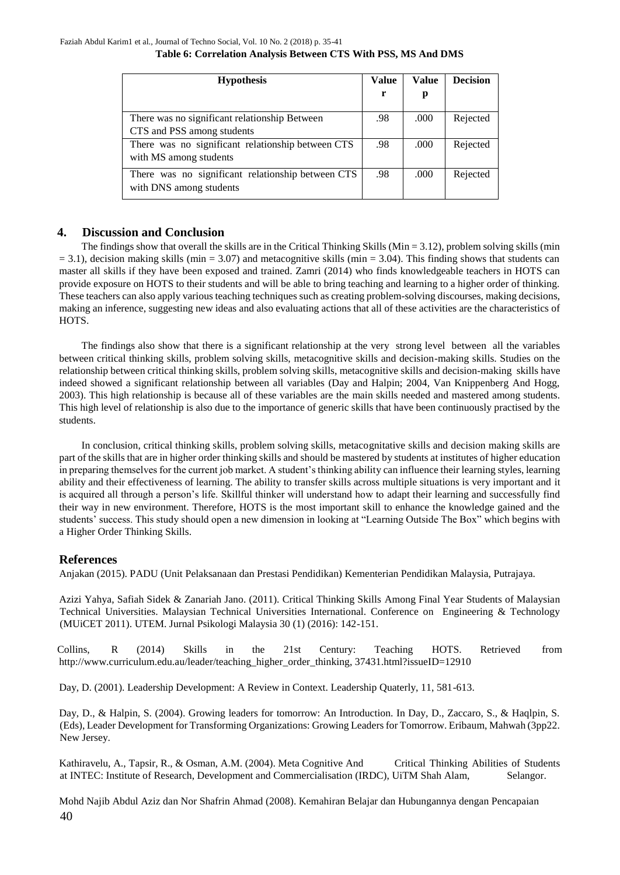## **Table 6: Correlation Analysis Between CTS With PSS, MS And DMS**

| <b>Hypothesis</b>                                                            | Value | Value | <b>Decision</b> |
|------------------------------------------------------------------------------|-------|-------|-----------------|
|                                                                              | r     | p     |                 |
| There was no significant relationship Between<br>CTS and PSS among students  | .98   | .000  | Rejected        |
| There was no significant relationship between CTS<br>with MS among students  | .98   | .000  | Rejected        |
| There was no significant relationship between CTS<br>with DNS among students | .98   | .000  | Rejected        |

## **4. Discussion and Conclusion**

The findings show that overall the skills are in the Critical Thinking Skills (Min  $= 3.12$ ), problem solving skills (min  $= 3.1$ ), decision making skills (min  $= 3.07$ ) and metacognitive skills (min  $= 3.04$ ). This finding shows that students can master all skills if they have been exposed and trained. Zamri (2014) who finds knowledgeable teachers in HOTS can provide exposure on HOTS to their students and will be able to bring teaching and learning to a higher order of thinking. These teachers can also apply various teaching techniques such as creating problem-solving discourses, making decisions, making an inference, suggesting new ideas and also evaluating actions that all of these activities are the characteristics of HOTS.

The findings also show that there is a significant relationship at the very strong level between all the variables between critical thinking skills, problem solving skills, metacognitive skills and decision-making skills. Studies on the relationship between critical thinking skills, problem solving skills, metacognitive skills and decision-making skills have indeed showed a significant relationship between all variables (Day and Halpin; 2004, Van Knippenberg And Hogg, 2003). This high relationship is because all of these variables are the main skills needed and mastered among students. This high level of relationship is also due to the importance of generic skills that have been continuously practised by the students.

In conclusion, critical thinking skills, problem solving skills, metacognitative skills and decision making skills are part of the skills that are in higher order thinking skills and should be mastered by students at institutes of higher education in preparing themselves for the current job market. A student's thinking ability can influence their learning styles, learning ability and their effectiveness of learning. The ability to transfer skills across multiple situations is very important and it is acquired all through a person's life. Skillful thinker will understand how to adapt their learning and successfully find their way in new environment. Therefore, HOTS is the most important skill to enhance the knowledge gained and the students' success. This study should open a new dimension in looking at "Learning Outside The Box" which begins with a Higher Order Thinking Skills.

## **References**

Anjakan (2015). PADU (Unit Pelaksanaan dan Prestasi Pendidikan) Kementerian Pendidikan Malaysia, Putrajaya.

Azizi Yahya, Safiah Sidek & Zanariah Jano. (2011). Critical Thinking Skills Among Final Year Students of Malaysian Technical Universities. Malaysian Technical Universities International. Conference on Engineering & Technology (MUiCET 2011). UTEM. Jurnal Psikologi Malaysia 30 (1) (2016): 142-151.

Collins, R (2014) Skills in the 21st Century: Teaching HOTS. Retrieved from http://www.curriculum.edu.au/leader/teaching\_higher\_order\_thinking, 37431.html?issueID=12910

Day, D. (2001). Leadership Development: A Review in Context. Leadership Quaterly, 11, 581-613.

Day, D., & Halpin, S. (2004). Growing leaders for tomorrow: An Introduction. In Day, D., Zaccaro, S., & Haqlpin, S. (Eds), Leader Development for Transforming Organizations: Growing Leaders for Tomorrow. Eribaum, Mahwah (3pp22. New Jersey.

Kathiravelu, A., Tapsir, R., & Osman, A.M. (2004). Meta Cognitive And Critical Thinking Abilities of Students at INTEC: Institute of Research, Development and Commercialisation (IRDC), UiTM Shah Alam, Selangor.

40 Mohd Najib Abdul Aziz dan Nor Shafrin Ahmad (2008). Kemahiran Belajar dan Hubungannya dengan Pencapaian